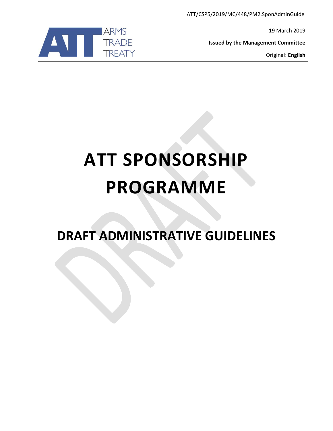

19 March 2019

**Issued by the Management Committee**

Original: **English**

# **ATT SPONSORSHIP PROGRAMME**

**DRAFT ADMINISTRATIVE GUIDELINES**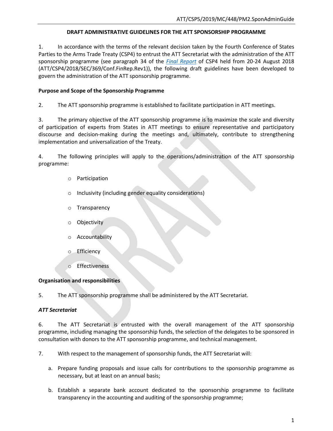## **DRAFT ADMINISTRATIVE GUIDELINES FOR THE ATT SPONSORSHIP PROGRAMME**

1. In accordance with the terms of the relevant decision taken by the Fourth Conference of States Parties to the Arms Trade Treaty (CSP4) to entrust the ATT Secretariat with the administration of the ATT sponsorship programme (see paragraph 34 of the *[Final Report](https://www.thearmstradetreaty.org/images/CSP4/CSP4_documents/CSP4_Final_Report-_August_2018_ATT_CSP4_2018_SEC_369_Conf.FinRep.Rev1.pdf)* of CSP4 held from 20-24 August 2018 (ATT/CSP4/2018/SEC/369/Conf.FinRep.Rev1)), the following draft guidelines have been developed to govern the administration of the ATT sponsorship programme.

### **Purpose and Scope of the Sponsorship Programme**

2. The ATT sponsorship programme is established to facilitate participation in ATT meetings.

3. The primary objective of the ATT sponsorship programme is to maximize the scale and diversity of participation of experts from States in ATT meetings to ensure representative and participatory discourse and decision-making during the meetings and, ultimately, contribute to strengthening implementation and universalization of the Treaty.

4. The following principles will apply to the operations/administration of the ATT sponsorship programme:

- o Participation
- o Inclusivity (including gender equality considerations)
- o Transparency
- **Objectivity**
- Accountability
- Efficiency
- Effectiveness

#### **Organisation and responsibilities**

5. The ATT sponsorship programme shall be administered by the ATT Secretariat.

# *ATT Secretariat*

6. The ATT Secretariat is entrusted with the overall management of the ATT sponsorship programme, including managing the sponsorship funds, the selection of the delegates to be sponsored in consultation with donors to the ATT sponsorship programme, and technical management.

7. With respect to the management of sponsorship funds, the ATT Secretariat will:

- a. Prepare funding proposals and issue calls for contributions to the sponsorship programme as necessary, but at least on an annual basis;
- b. Establish a separate bank account dedicated to the sponsorship programme to facilitate transparency in the accounting and auditing of the sponsorship programme;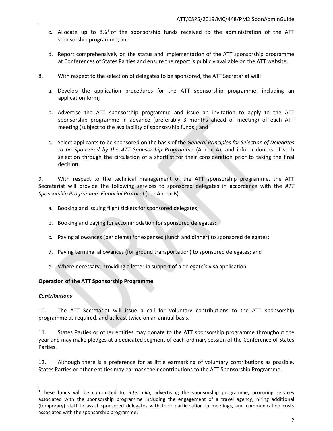- c. Allocate up to  $8\%$ <sup>1</sup> of the sponsorship funds received to the administration of the ATT sponsorship programme; and
- d. Report comprehensively on the status and implementation of the ATT sponsorship programme at Conferences of States Parties and ensure the report is publicly available on the ATT website.
- 8. With respect to the selection of delegates to be sponsored, the ATT Secretariat will:
	- a. Develop the application procedures for the ATT sponsorship programme, including an application form;
	- b. Advertise the ATT sponsorship programme and issue an invitation to apply to the ATT sponsorship programme in advance (preferably 3 months ahead of meeting) of each ATT meeting (subject to the availability of sponsorship funds); and
	- c. Select applicants to be sponsored on the basis of the *General Principles for Selection of Delegates to be Sponsored by the ATT Sponsorship Programme* (Annex A), and inform donors of such selection through the circulation of a shortlist for their consideration prior to taking the final decision.

9. With respect to the technical management of the ATT sponsorship programme, the ATT Secretariat will provide the following services to sponsored delegates in accordance with the *ATT Sponsorship Programme: Financial Protocol* (see Annex B):

- a. Booking and issuing flight tickets for sponsored delegates;
- b. Booking and paying for accommodation for sponsored delegates;
- c. Paying allowances (per diems) for expenses (lunch and dinner) to sponsored delegates;
- d. Paying terminal allowances (for ground transportation) to sponsored delegates; and
- e. Where necessary, providing a letter in support of a delegate's visa application.

#### **Operation of the ATT Sponsorship Programme**

#### *Contributions*

 $\overline{a}$ 

10. The ATT Secretariat will issue a call for voluntary contributions to the ATT sponsorship programme as required, and at least twice on an annual basis.

11. States Parties or other entities may donate to the ATT sponsorship programme throughout the year and may make pledges at a dedicated segment of each ordinary session of the Conference of States Parties.

12. Although there is a preference for as little earmarking of voluntary contributions as possible, States Parties or other entities may earmark their contributions to the ATT Sponsorship Programme.

<sup>1</sup> These funds will be committed to, *inter alia*, advertising the sponsorship programme, procuring services associated with the sponsorship programme including the engagement of a travel agency, hiring additional (temporary) staff to assist sponsored delegates with their participation in meetings, and communication costs associated with the sponsorship programme.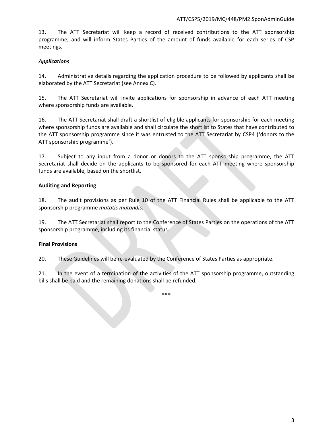13. The ATT Secretariat will keep a record of received contributions to the ATT sponsorship programme, and will inform States Parties of the amount of funds available for each series of CSP meetings.

# *Applications*

14. Administrative details regarding the application procedure to be followed by applicants shall be elaborated by the ATT Secretariat (see Annex C).

15. The ATT Secretariat will invite applications for sponsorship in advance of each ATT meeting where sponsorship funds are available.

16. The ATT Secretariat shall draft a shortlist of eligible applicants for sponsorship for each meeting where sponsorship funds are available and shall circulate the shortlist to States that have contributed to the ATT sponsorship programme since it was entrusted to the ATT Secretariat by CSP4 ('donors to the ATT sponsorship programme').

17. Subject to any input from a donor or donors to the ATT sponsorship programme, the ATT Secretariat shall decide on the applicants to be sponsored for each ATT meeting where sponsorship funds are available, based on the shortlist.

# **Auditing and Reporting**

18. The audit provisions as per Rule 10 of the ATT Financial Rules shall be applicable to the ATT sponsorship programme *mutatis mutandis*.

19. The ATT Secretariat shall report to the Conference of States Parties on the operations of the ATT sponsorship programme, including its financial status.

# **Final Provisions**

20. These Guidelines will be re-evaluated by the Conference of States Parties as appropriate.

21. In the event of a termination of the activities of the ATT sponsorship programme, outstanding bills shall be paid and the remaining donations shall be refunded.

\*\*\*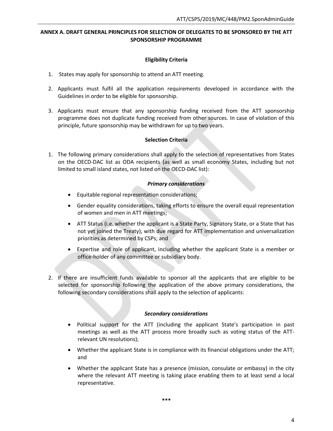## **ANNEX A. DRAFT GENERAL PRINCIPLES FOR SELECTION OF DELEGATES TO BE SPONSORED BY THE ATT SPONSORSHIP PROGRAMME**

## **Eligibility Criteria**

- 1. States may apply for sponsorship to attend an ATT meeting.
- 2. Applicants must fulfil all the application requirements developed in accordance with the Guidelines in order to be eligible for sponsorship.
- 3. Applicants must ensure that any sponsorship funding received from the ATT sponsorship programme does not duplicate funding received from other sources. In case of violation of this principle, future sponsorship may be withdrawn for up to two years.

## **Selection Criteria**

1. The following primary considerations shall apply to the selection of representatives from States on the OECD-DAC list as ODA recipients (as well as small economy States, including but not limited to small island states, not listed on the OECD-DAC list):

## *Primary considerations*

- Equitable regional representation considerations;
- Gender equality considerations, taking efforts to ensure the overall equal representation of women and men in ATT meetings;
- ATT Status (i.e. whether the applicant is a State Party, Signatory State, or a State that has not yet joined the Treaty), with due regard for ATT implementation and universalization priorities as determined by CSPs; and
- Expertise and role of applicant, including whether the applicant State is a member or office-holder of any committee or subsidiary body.
- 2. If there are insufficient funds available to sponsor all the applicants that are eligible to be selected for sponsorship following the application of the above primary considerations, the following secondary considerations shall apply to the selection of applicants:

#### *Secondary considerations*

- Political support for the ATT (including the applicant State's participation in past meetings as well as the ATT process more broadly such as voting status of the ATTrelevant UN resolutions);
- Whether the applicant State is in compliance with its financial obligations under the ATT; and
- Whether the applicant State has a presence (mission, consulate or embassy) in the city where the relevant ATT meeting is taking place enabling them to at least send a local representative.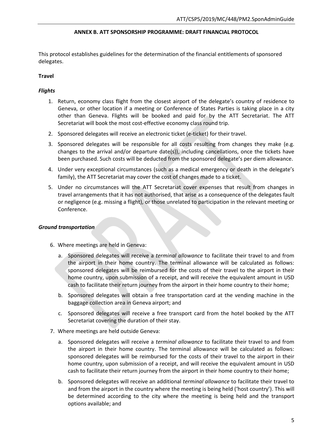#### **ANNEX B. ATT SPONSORSHIP PROGRAMME: DRAFT FINANCIAL PROTOCOL**

This protocol establishes guidelines for the determination of the financial entitlements of sponsored delegates.

# **Travel**

## *Flights*

- 1. Return, economy class flight from the closest airport of the delegate's country of residence to Geneva, or other location if a meeting or Conference of States Parties is taking place in a city other than Geneva. Flights will be booked and paid for by the ATT Secretariat. The ATT Secretariat will book the most cost-effective economy class round trip.
- 2. Sponsored delegates will receive an electronic ticket (e-ticket) for their travel.
- 3. Sponsored delegates will be responsible for all costs resulting from changes they make (e.g. changes to the arrival and/or departure date(s)), including cancellations, once the tickets have been purchased. Such costs will be deducted from the sponsored delegate's per diem allowance.
- 4. Under very exceptional circumstances (such as a medical emergency or death in the delegate's family), the ATT Secretariat may cover the cost of changes made to a ticket.
- 5. Under no circumstances will the ATT Secretariat cover expenses that result from changes in travel arrangements that it has not authorised, that arise as a consequence of the delegates fault or negligence (e.g. missing a flight), or those unrelated to participation in the relevant meeting or Conference.

#### *Ground transportation*

- 6. Where meetings are held in Geneva:
	- a. Sponsored delegates will receive a *terminal allowance* to facilitate their travel to and from the airport in their home country. The terminal allowance will be calculated as follows: sponsored delegates will be reimbursed for the costs of their travel to the airport in their home country, upon submission of a receipt, and will receive the equivalent amount in USD cash to facilitate their return journey from the airport in their home country to their home;
	- b. Sponsored delegates will obtain a free transportation card at the vending machine in the baggage collection area in Geneva airport; and
	- c. Sponsored delegates will receive a free transport card from the hotel booked by the ATT Secretariat covering the duration of their stay.
- 7. Where meetings are held outside Geneva:
	- a. Sponsored delegates will receive a *terminal allowance* to facilitate their travel to and from the airport in their home country. The terminal allowance will be calculated as follows: sponsored delegates will be reimbursed for the costs of their travel to the airport in their home country, upon submission of a receipt, and will receive the equivalent amount in USD cash to facilitate their return journey from the airport in their home country to their home;
	- b. Sponsored delegates will receive an additional *terminal allowance* to facilitate their travel to and from the airport in the country where the meeting is being held ('host country'). This will be determined according to the city where the meeting is being held and the transport options available; and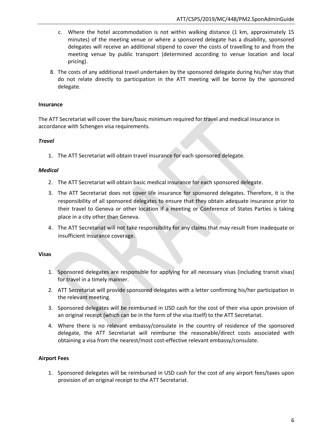- c. Where the hotel accommodation is not within walking distance (1 km, approximately 15 minutes) of the meeting venue or where a sponsored delegate has a disability, sponsored delegates will receive an additional stipend to cover the costs of travelling to and from the meeting venue by public transport (determined according to venue location and local pricing).
- 8. The costs of any additional travel undertaken by the sponsored delegate during his/her stay that do not relate directly to participation in the ATT meeting will be borne by the sponsored delegate.

# **Insurance**

The ATT Secretariat will cover the bare/basic minimum required for travel and medical insurance in accordance with Schengen visa requirements*.* 

## *Travel*

1. The ATT Secretariat will obtain travel insurance for each sponsored delegate.

## *Medical*

- 2. The ATT Secretariat will obtain basic medical insurance for each sponsored delegate.
- 3. The ATT Secretariat does not cover life insurance for sponsored delegates. Therefore, it is the responsibility of all sponsored delegates to ensure that they obtain adequate insurance prior to their travel to Geneva or other location if a meeting or Conference of States Parties is taking place in a city other than Geneva.
- 4. The ATT Secretariat will not take responsibility for any claims that may result from inadequate or insufficient insurance coverage.

# **Visas**

- 1. Sponsored delegates are responsible for applying for all necessary visas (including transit visas) for travel in a timely manner.
- 2. ATT Secretariat will provide sponsored delegates with a letter confirming his/her participation in the relevant meeting.
- 3. Sponsored delegates will be reimbursed in USD cash for the cost of their visa upon provision of an original receipt (which can be in the form of the visa itself) to the ATT Secretariat.
- 4. Where there is no relevant embassy/consulate in the country of residence of the sponsored delegate, the ATT Secretariat will reimburse the reasonable/direct costs associated with obtaining a visa from the nearest/most cost-effective relevant embassy/consulate.

# **Airport Fees**

1. Sponsored delegates will be reimbursed in USD cash for the cost of any airport fees/taxes upon provision of an original receipt to the ATT Secretariat.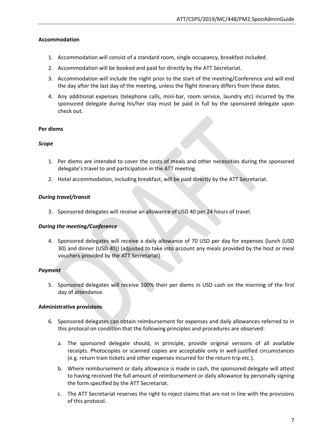## **Accommodation**

- 1. Accommodation will consist of a standard room, single occupancy, breakfast included.
- 2. Accommodation will be booked and paid for directly by the ATT Secretariat.
- 3. Accommodation will include the night prior to the start of the meeting/Conference and will end the day after the last day of the meeting, unless the flight itinerary differs from these dates.
- 4. Any additional expenses (telephone calls, mini-bar, room service, laundry etc) incurred by the sponsored delegate during his/her stay must be paid in full by the sponsored delegate upon check out.

## **Per diems**

## *Scope*

- 1. Per diems are intended to cover the costs of meals and other necessities during the sponsored delegate's travel to and participation in the ATT meeting.
- 2. Hotel accommodation, including breakfast, will be paid directly by the ATT Secretariat.

## *During travel/transit*

3. Sponsored delegates will receive an allowance of USD 40 per 24 hours of travel.

# *During the meeting/Conference*

4. Sponsored delegates will receive a daily allowance of 70 USD per day for expenses (lunch (USD 30) and dinner (USD 40)) (adjusted to take into account any meals provided by the host or meal vouchers provided by the ATT Secretariat).

# *Payment*

5. Sponsored delegates will receive 100% their per diems in USD cash on the morning of the first day of attendance.

# **Administrative provisions**

- 6. Sponsored delegates can obtain reimbursement for expenses and daily allowances referred to in this protocol on condition that the following principles and procedures are observed:
	- a. The sponsored delegate should, in principle, provide original versions of all available receipts. Photocopies or scanned copies are acceptable only in well-justified circumstances (e.g. return train tickets and other expenses incurred for the return trip etc.).
	- b. Where reimbursement or daily allowance is made in cash, the sponsored delegate will attest to having received the full amount of reimbursement or daily allowance by personally signing the form specified by the ATT Secretariat.
	- c. The ATT Secretariat reserves the right to reject claims that are not in line with the provisions of this protocol.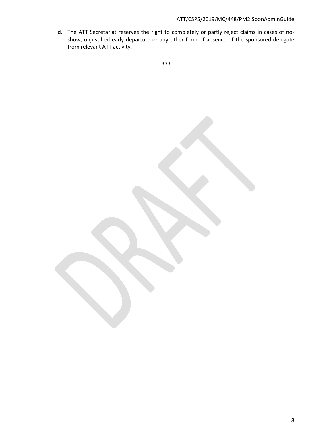d. The ATT Secretariat reserves the right to completely or partly reject claims in cases of noshow, unjustified early departure or any other form of absence of the sponsored delegate from relevant ATT activity.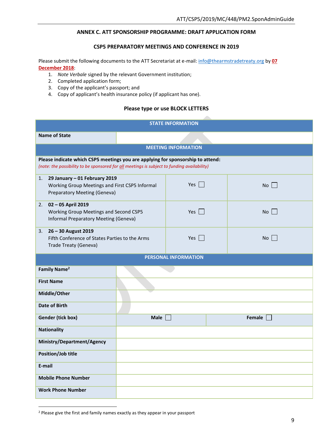## **ANNEX C. ATT SPONSORSHIP PROGRAMME: DRAFT APPLICATION FORM**

#### **CSP5 PREPARATORY MEETINGS AND CONFERENCE IN 2019**

Please submit the following documents to the ATT Secretariat at e-mail: [info@thearmstradetreaty.org](mailto:info@thearmstradetreaty.org) by **07 December 2018**:

- 1. *Note Verbale* signed by the relevant Government institution;
- 2. Completed application form;
- 3. Copy of the applicant's passport; and
- 4. Copy of applicant's health insurance policy (if applicant has one).

#### **Please type or use BLOCK LETTERS**

z.

| <b>STATE INFORMATION</b>                                                                                                                                                       |                 |            |        |  |  |  |
|--------------------------------------------------------------------------------------------------------------------------------------------------------------------------------|-----------------|------------|--------|--|--|--|
| <b>Name of State</b>                                                                                                                                                           |                 |            |        |  |  |  |
| <b>MEETING INFORMATION</b>                                                                                                                                                     |                 |            |        |  |  |  |
| Please indicate which CSP5 meetings you are applying for sponsorship to attend:<br>(note: the possibility to be sponsored for all meetings is subject to funding availability) |                 |            |        |  |  |  |
| 29 January - 01 February 2019<br>1.<br>Working Group Meetings and First CSP5 Informal<br>Preparatory Meeting (Geneva)                                                          |                 | Yes $\Box$ | No     |  |  |  |
| 2. 02 - 05 April 2019<br>Working Group Meetings and Second CSP5<br>Informal Preparatory Meeting (Geneva)                                                                       |                 | Yes $\Box$ | No     |  |  |  |
| 3. 26 - 30 August 2019<br>Fifth Conference of States Parties to the Arms<br>Trade Treaty (Geneva)                                                                              |                 | Yes $\Box$ | No     |  |  |  |
| <b>PERSONAL INFORMATION</b>                                                                                                                                                    |                 |            |        |  |  |  |
| Family Name <sup>2</sup>                                                                                                                                                       |                 |            |        |  |  |  |
| <b>First Name</b>                                                                                                                                                              |                 |            |        |  |  |  |
| Middle/Other                                                                                                                                                                   |                 |            |        |  |  |  |
| Date of Birth                                                                                                                                                                  |                 |            |        |  |  |  |
| <b>Gender (tick box)</b>                                                                                                                                                       | Male $\sqrt{ }$ |            | Female |  |  |  |
| <b>Nationality</b>                                                                                                                                                             |                 |            |        |  |  |  |
| Ministry/Department/Agency                                                                                                                                                     |                 |            |        |  |  |  |
| <b>Position/Job title</b>                                                                                                                                                      |                 |            |        |  |  |  |
| E-mail                                                                                                                                                                         |                 |            |        |  |  |  |
| <b>Mobile Phone Number</b>                                                                                                                                                     |                 |            |        |  |  |  |
| <b>Work Phone Number</b>                                                                                                                                                       |                 |            |        |  |  |  |

 $\overline{a}$ 

<sup>2</sup> Please give the first and family names exactly as they appear in your passport